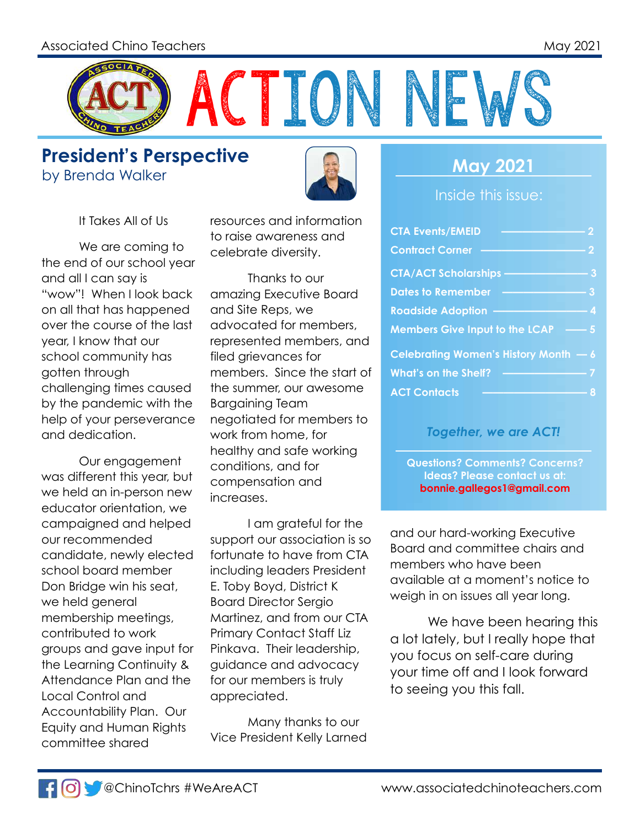

**President's Perspective** by Brenda Walker **May 2021** 



It Takes All of Us

We are coming to the end of our school year and all I can say is "wow"! When I look back on all that has happened over the course of the last year, I know that our school community has gotten through challenging times caused by the pandemic with the help of your perseverance and dedication.

Our engagement was different this year, but we held an in-person new educator orientation, we campaigned and helped our recommended candidate, newly elected school board member Don Bridge win his seat, we held general membership meetings, contributed to work groups and gave input for the Learning Continuity & Attendance Plan and the Local Control and Accountability Plan. Our Equity and Human Rights committee shared

resources and information to raise awareness and celebrate diversity.

Thanks to our amazing Executive Board and Site Reps, we advocated for members, represented members, and filed grievances for members. Since the start of the summer, our awesome Bargaining Team negotiated for members to work from home, for healthy and safe working conditions, and for compensation and increases.

I am grateful for the support our association is so fortunate to have from CTA including leaders President E. Toby Boyd, District K Board Director Sergio Martinez, and from our CTA Primary Contact Staff Liz Pinkava. Their leadership, guidance and advocacy for our members is truly appreciated.

Many thanks to our Vice President Kelly Larned

Inside this issue:

| <b>CTA Events/EMEID</b>               | 2              |
|---------------------------------------|----------------|
| <b>Contract Corner</b>                | $\overline{2}$ |
| <b>CTA/ACT Scholarships</b>           | 3              |
| <b>Dates to Remember</b>              | 3              |
| <b>Roadside Adoption</b>              | 4              |
| <b>Members Give Input to the LCAP</b> | $\overline{5}$ |
| Celebrating Women's History Month - 6 |                |
| <b>What's on the Shelf?</b>           |                |
| <b>ACT Contacts</b>                   |                |

#### *Together, we are ACT!*

**Questions? Comments? Concerns? Ideas? Please contact us at: bonnie.gallegos1@gmail.com**

and our hard-working Executive Board and committee chairs and members who have been available at a moment's notice to weigh in on issues all year long.

We have been hearing this a lot lately, but I really hope that you focus on self-care during your time off and I look forward to seeing you this fall.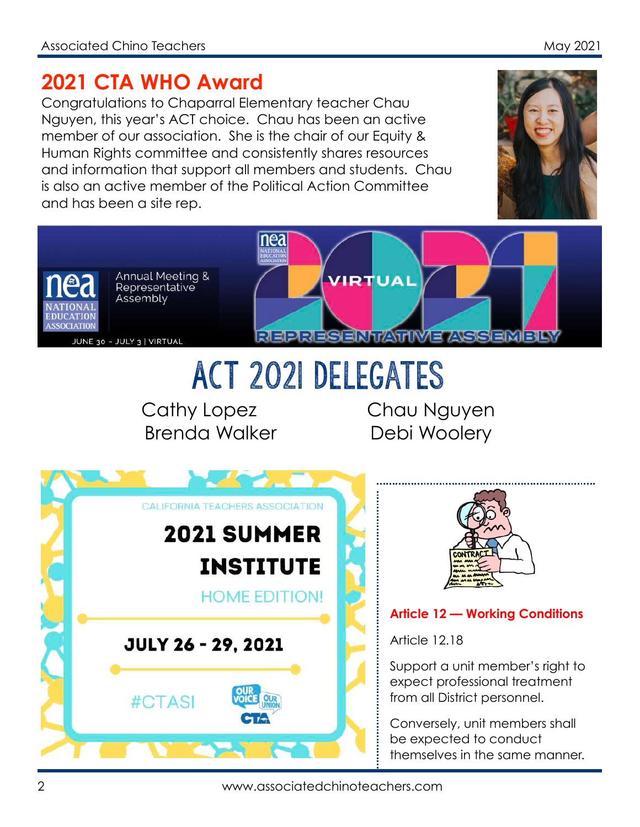### **2021 CTA WHO Award**

Congratulations to Chaparral Elementary teacher Chau Nguyen, this year's ACT choice. Chau has been an active member of our association. She is the chair of our Equity & Human Rights committee and consistently shares resources and information that support all members and students. Chau is also an active member of the Political Action Committee and has been a site rep.





ACT 2021 Delegates

Cathy Lopez Chau Nguyen Brenda Walker Debi Woolery





### **Article 12 — Working Conditions**

Article 12.18

Support a unit member's right to expect professional treatment from all District personnel.

Conversely, unit members shall be expected to conduct themselves in the same manner.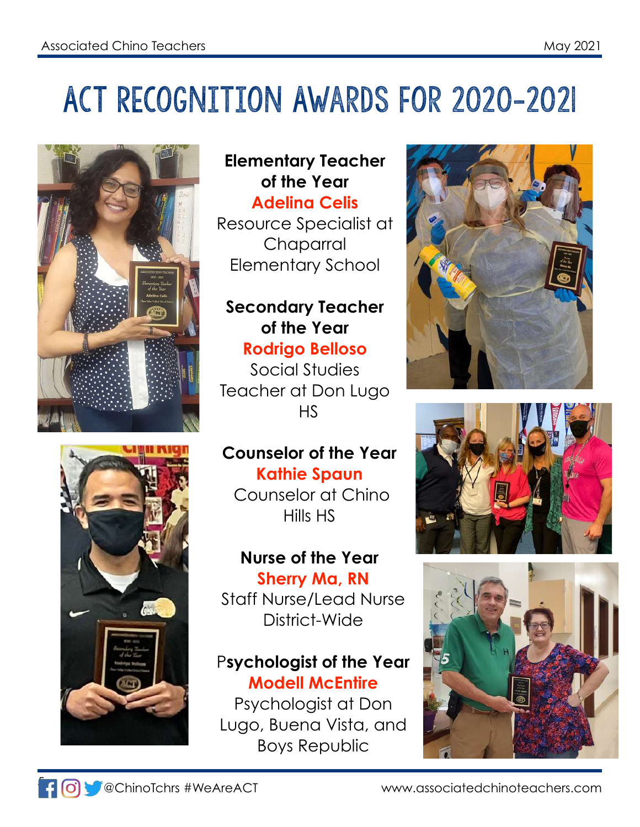## ACT Recognition Awards for 2020-2021





### **Elementary Teacher of the Year Adelina Celis**

Resource Specialist at Chaparral Elementary School

### **Secondary Teacher of the Year Rodrigo Belloso**

Social Studies Teacher at Don Lugo HS

### **Counselor of the Year Kathie Spaun**

 Counselor at Chino Hills HS

### **Nurse of the Year Sherry Ma, RN** Staff Nurse/Lead Nurse

District-Wide

### P**sychologist of the Year Modell McEntire**

Psychologist at Don Lugo, Buena Vista, and Boys Republic







www.associatedchinoteachers.com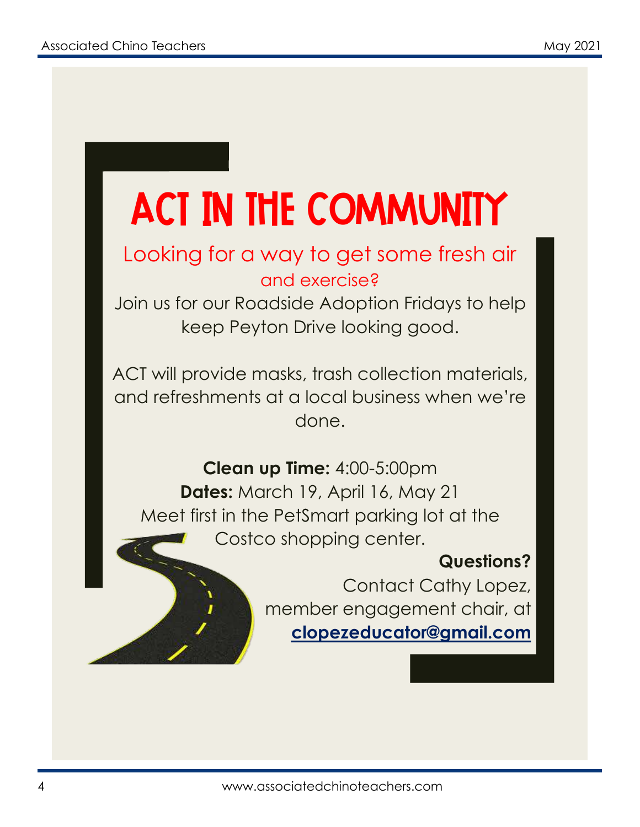# ACT in the Community

### Looking for a way to get some fresh air and exercise?

Join us for our Roadside Adoption Fridays to help keep Peyton Drive looking good.

ACT will provide masks, trash collection materials, and refreshments at a local business when we're done.

**Clean up Time:** 4:00-5:00pm **Dates:** March 19, April 16, May 21 Meet first in the PetSmart parking lot at the Costco shopping center.

### **Questions?**

Contact Cathy Lopez, member engagement chair, at **clopezeducator@gmail.com**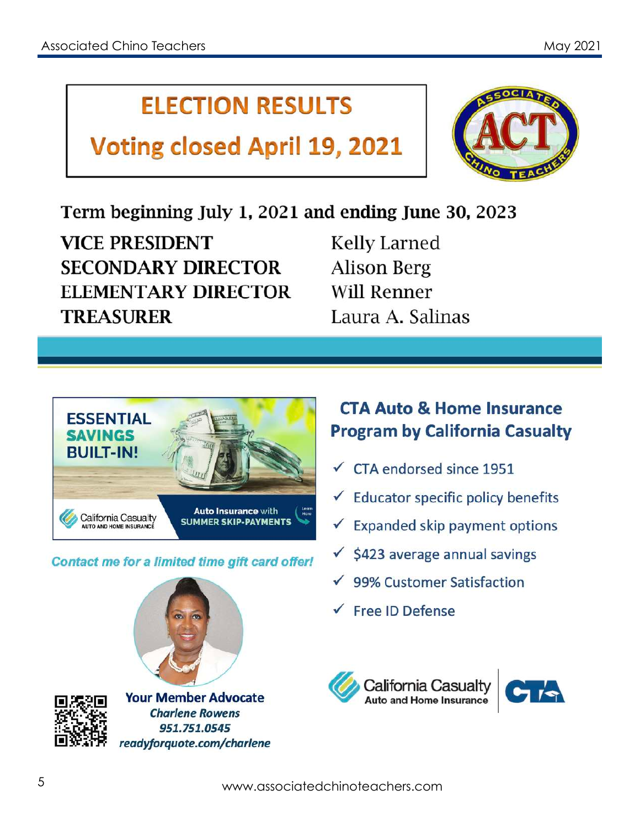### **ELECTION RESULTS**

### **Voting closed April 19, 2021**



### Term beginning July 1, 2021 and ending June 30, 2023

**VICE PRESIDENT SECONDARY DIRECTOR ELEMENTARY DIRECTOR TREASURER** 

**Kelly Larned Alison Berg Will Renner** Laura A. Salinas



Contact me for a limited time gift card offer!

### **CTA Auto & Home Insurance Program by California Casualty**

- $\checkmark$  CTA endorsed since 1951
- $\checkmark$  Educator specific policy benefits
- $\checkmark$  Expanded skip payment options
- $\checkmark$  \$423 average annual savings
- $\sqrt{99\%}$  Customer Satisfaction
- $\sqrt{\phantom{a}}$  Free ID Defense





**Your Member Advocate Charlene Rowens** 951.751.0545 readyforquote.com/charlene



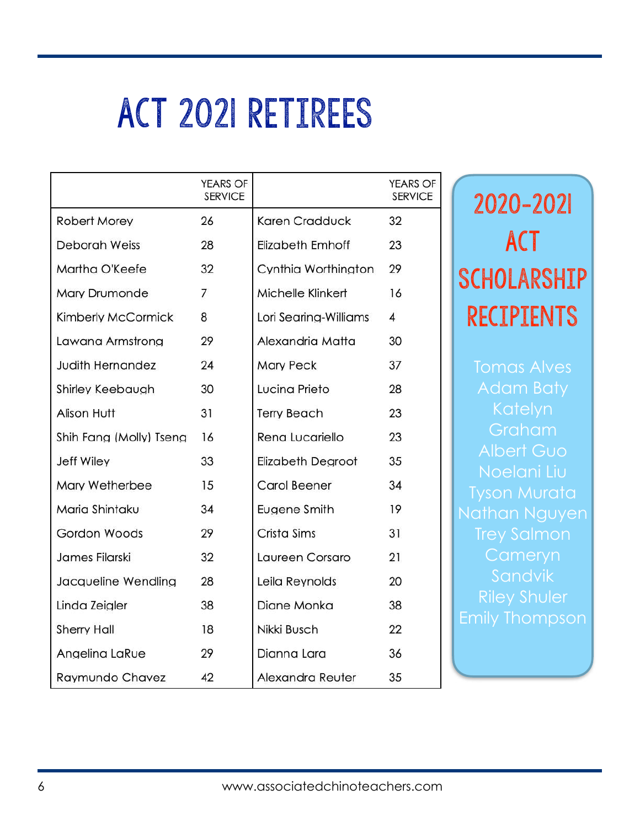## ACT 2021 Retirees

|                         | <b>YEARS OF</b><br><b>SERVICE</b> |                          | <b>YEARS OF</b><br><b>SERVICE</b> |
|-------------------------|-----------------------------------|--------------------------|-----------------------------------|
| Robert Morey            | 26                                | Karen Cradduck           | 32                                |
| <b>Deborah Weiss</b>    | 28                                | Elizabeth Emhoff         | 23                                |
| Martha O'Keefe          | 32                                | Cynthia Worthington      | 29                                |
| Mary Drumonde           | $\overline{7}$                    | Michelle Klinkert        | 16                                |
| Kimberly McCormick      | 8                                 | Lori Searing-Williams    | $\overline{4}$                    |
| Lawana Armstrong        | 29                                | Alexandria Matta         | 30                                |
| <b>Judith Hernandez</b> | 24                                | <b>Mary Peck</b>         | 37                                |
| <b>Shirley Keebaugh</b> | 30                                | Lucina Prieto            | 28                                |
| Alison Hutt             | 31                                | <b>Terry Beach</b>       | 23                                |
| Shih Fang (Molly) Tsena | 16                                | Rena Lucariello          | 23                                |
| <b>Jeff Wiley</b>       | 33                                | <b>Elizabeth Degroot</b> | 35                                |
| Mary Wetherbee          | 15                                | Carol Beener             | 34                                |
| Maria Shintaku          | 34                                | Eugene Smith             | 19                                |
| Gordon Woods            | 29                                | Crista Sims              | 31                                |
| James Filarski          | 32                                | Laureen Corsaro          | 21                                |
| Jacqueline Wendling     | 28                                | Leila Reynolds           | 20                                |
| Linda Zeigler           | 38                                | Diane Monka              | 38                                |
| <b>Sherry Hall</b>      | 18                                | Nikki Busch              | 22                                |
| Angelina LaRue          | 29                                | Dianna Lara              | 36                                |
| Raymundo Chavez         | 42                                | Alexandra Reuter         | 35                                |

## 2020-2021 **ACT** Scholarship Recipients

Graham Nathan Nguyen Riley Shuler